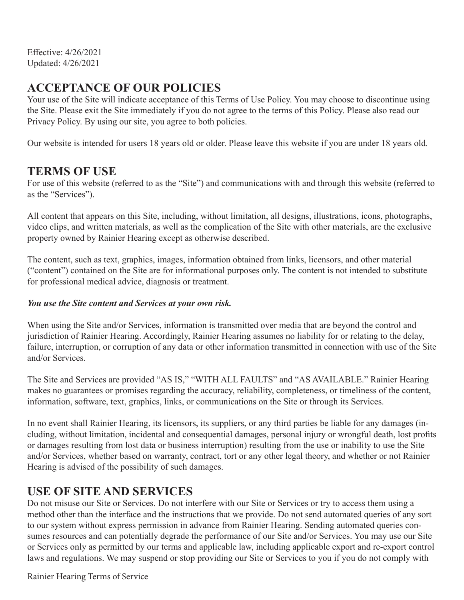Effective: 4/26/2021 Updated: 4/26/2021

# **ACCEPTANCE OF OUR POLICIES**

Your use of the Site will indicate acceptance of this Terms of Use Policy. You may choose to discontinue using the Site. Please exit the Site immediately if you do not agree to the terms of this Policy. Please also read our Privacy Policy. By using our site, you agree to both policies.

Our website is intended for users 18 years old or older. Please leave this website if you are under 18 years old.

#### **TERMS OF USE**

For use of this website (referred to as the "Site") and communications with and through this website (referred to as the "Services").

All content that appears on this Site, including, without limitation, all designs, illustrations, icons, photographs, video clips, and written materials, as well as the complication of the Site with other materials, are the exclusive property owned by Rainier Hearing except as otherwise described.

The content, such as text, graphics, images, information obtained from links, licensors, and other material ("content") contained on the Site are for informational purposes only. The content is not intended to substitute for professional medical advice, diagnosis or treatment.

#### *You use the Site content and Services at your own risk.*

When using the Site and/or Services, information is transmitted over media that are beyond the control and jurisdiction of Rainier Hearing. Accordingly, Rainier Hearing assumes no liability for or relating to the delay, failure, interruption, or corruption of any data or other information transmitted in connection with use of the Site and/or Services.

The Site and Services are provided "AS IS," "WITH ALL FAULTS" and "AS AVAILABLE." Rainier Hearing makes no guarantees or promises regarding the accuracy, reliability, completeness, or timeliness of the content, information, software, text, graphics, links, or communications on the Site or through its Services.

In no event shall Rainier Hearing, its licensors, its suppliers, or any third parties be liable for any damages (including, without limitation, incidental and consequential damages, personal injury or wrongful death, lost profits or damages resulting from lost data or business interruption) resulting from the use or inability to use the Site and/or Services, whether based on warranty, contract, tort or any other legal theory, and whether or not Rainier Hearing is advised of the possibility of such damages.

#### **USE OF SITE AND SERVICES**

Do not misuse our Site or Services. Do not interfere with our Site or Services or try to access them using a method other than the interface and the instructions that we provide. Do not send automated queries of any sort to our system without express permission in advance from Rainier Hearing. Sending automated queries consumes resources and can potentially degrade the performance of our Site and/or Services. You may use our Site or Services only as permitted by our terms and applicable law, including applicable export and re-export control laws and regulations. We may suspend or stop providing our Site or Services to you if you do not comply with

Rainier Hearing Terms of Service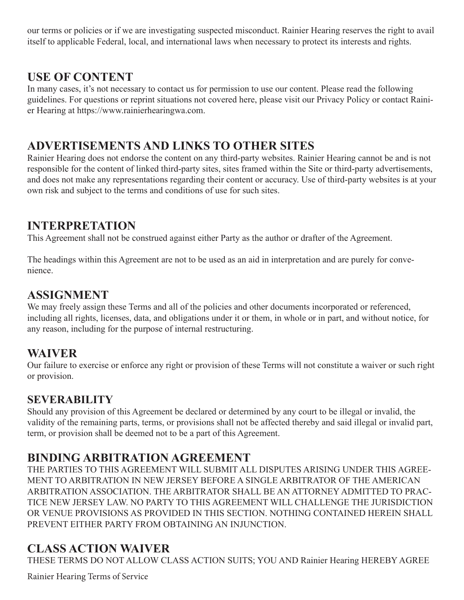our terms or policies or if we are investigating suspected misconduct. Rainier Hearing reserves the right to avail itself to applicable Federal, local, and international laws when necessary to protect its interests and rights.

# **USE OF CONTENT**

In many cases, it's not necessary to contact us for permission to use our content. Please read the following guidelines. For questions or reprint situations not covered here, please visit our Privacy Policy or contact Rainier Hearing at https://www.rainierhearingwa.com.

# **ADVERTISEMENTS AND LINKS TO OTHER SITES**

Rainier Hearing does not endorse the content on any third-party websites. Rainier Hearing cannot be and is not responsible for the content of linked third-party sites, sites framed within the Site or third-party advertisements, and does not make any representations regarding their content or accuracy. Use of third-party websites is at your own risk and subject to the terms and conditions of use for such sites.

### **INTERPRETATION**

This Agreement shall not be construed against either Party as the author or drafter of the Agreement.

The headings within this Agreement are not to be used as an aid in interpretation and are purely for convenience.

# **ASSIGNMENT**

We may freely assign these Terms and all of the policies and other documents incorporated or referenced, including all rights, licenses, data, and obligations under it or them, in whole or in part, and without notice, for any reason, including for the purpose of internal restructuring.

# **WAIVER**

Our failure to exercise or enforce any right or provision of these Terms will not constitute a waiver or such right or provision.

### **SEVERABILITY**

Should any provision of this Agreement be declared or determined by any court to be illegal or invalid, the validity of the remaining parts, terms, or provisions shall not be affected thereby and said illegal or invalid part, term, or provision shall be deemed not to be a part of this Agreement.

# **BINDING ARBITRATION AGREEMENT**

THE PARTIES TO THIS AGREEMENT WILL SUBMIT ALL DISPUTES ARISING UNDER THIS AGREE-MENT TO ARBITRATION IN NEW JERSEY BEFORE A SINGLE ARBITRATOR OF THE AMERICAN ARBITRATION ASSOCIATION. THE ARBITRATOR SHALL BE AN ATTORNEY ADMITTED TO PRAC-TICE NEW JERSEY LAW. NO PARTY TO THIS AGREEMENT WILL CHALLENGE THE JURISDICTION OR VENUE PROVISIONS AS PROVIDED IN THIS SECTION. NOTHING CONTAINED HEREIN SHALL PREVENT EITHER PARTY FROM OBTAINING AN INJUNCTION.

# **CLASS ACTION WAIVER**

THESE TERMS DO NOT ALLOW CLASS ACTION SUITS; YOU AND Rainier Hearing HEREBY AGREE

Rainier Hearing Terms of Service